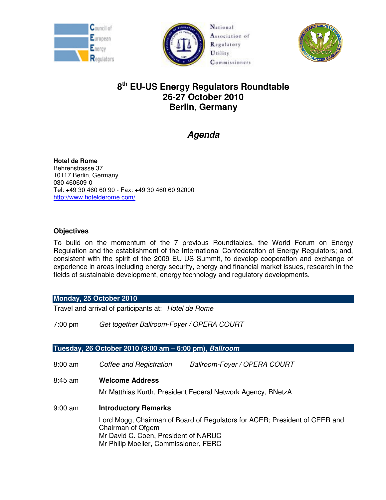





# **8 th EU-US Energy Regulators Roundtable 26-27 October 2010 Berlin, Germany**

# **Agenda**

**Hotel de Rome**  Behrenstrasse 37 10117 Berlin, Germany 030 460609-0 Tel: +49 30 460 60 90 - Fax: +49 30 460 60 92000 http://www.hotelderome.com/

# **Objectives**

To build on the momentum of the 7 previous Roundtables, the World Forum on Energy Regulation and the establishment of the International Confederation of Energy Regulators; and, consistent with the spirit of the 2009 EU-US Summit, to develop cooperation and exchange of experience in areas including energy security, energy and financial market issues, research in the fields of sustainable development, energy technology and regulatory developments.

# **Monday, 25 October 2010**

Travel and arrival of participants at: Hotel de Rome

7:00 pm Get together Ballroom-Foyer / OPERA COURT

# **Tuesday, 26 October 2010 (9:00 am – 6:00 pm), Ballroom**

8:00 am Coffee and Registration Ballroom-Foyer / OPERA COURT 8:45 am **Welcome Address** Mr Matthias Kurth, President Federal Network Agency, BNetzA 9:00 am **Introductory Remarks**  Lord Mogg, Chairman of Board of Regulators for ACER; President of CEER and Chairman of Ofgem Mr David C. Coen, President of NARUC Mr Philip Moeller, Commissioner, FERC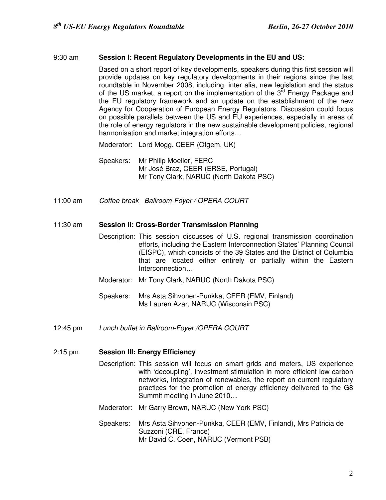## 9:30 am **Session I: Recent Regulatory Developments in the EU and US:**

Based on a short report of key developments, speakers during this first session will provide updates on key regulatory developments in their regions since the last roundtable in November 2008, including, inter alia, new legislation and the status of the US market, a report on the implementation of the  $3<sup>rd</sup>$  Energy Package and the EU regulatory framework and an update on the establishment of the new Agency for Cooperation of European Energy Regulators. Discussion could focus on possible parallels between the US and EU experiences, especially in areas of the role of energy regulators in the new sustainable development policies, regional harmonisation and market integration efforts…

Moderator: Lord Mogg, CEER (Ofgem, UK)

- Speakers: Mr Philip Moeller, FERC Mr José Braz, CEER (ERSE, Portugal) Mr Tony Clark, NARUC (North Dakota PSC)
- 11:00 am Coffee break Ballroom-Foyer / OPERA COURT

#### 11:30 am **Session II: Cross-Border Transmission Planning**

- Description: This session discusses of U.S. regional transmission coordination efforts, including the Eastern Interconnection States' Planning Council (EISPC), which consists of the 39 States and the District of Columbia that are located either entirely or partially within the Eastern Interconnection…
- Moderator: Mr Tony Clark, NARUC (North Dakota PSC)
- Speakers: Mrs Asta Sihvonen-Punkka, CEER (EMV, Finland) Ms Lauren Azar, NARUC (Wisconsin PSC)
- 12:45 pm Lunch buffet in Ballroom-Foyer /OPERA COURT

## 2:15 pm **Session III: Energy Efficiency**

- Description: This session will focus on smart grids and meters, US experience with 'decoupling', investment stimulation in more efficient low-carbon networks, integration of renewables, the report on current regulatory practices for the promotion of energy efficiency delivered to the G8 Summit meeting in June 2010…
- Moderator: Mr Garry Brown, NARUC (New York PSC)
- Speakers: Mrs Asta Sihvonen-Punkka, CEER (EMV, Finland), Mrs Patricia de Suzzoni (CRE, France) Mr David C. Coen, NARUC (Vermont PSB)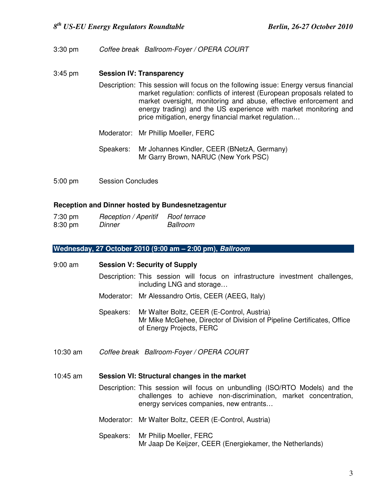3:30 pm Coffee break Ballroom-Foyer / OPERA COURT

#### 3:45 pm **Session IV: Transparency**

- Description: This session will focus on the following issue: Energy versus financial market regulation: conflicts of interest (European proposals related to market oversight, monitoring and abuse, effective enforcement and energy trading) and the US experience with market monitoring and price mitigation, energy financial market regulation…
- Moderator: Mr Phillip Moeller, FERC
- Speakers: Mr Johannes Kindler, CEER (BNetzA, Germany) Mr Garry Brown, NARUC (New York PSC)
- 5:00 pm Session Concludes

#### **Reception and Dinner hosted by Bundesnetzagentur**

| $7:30 \text{ pm}$ | <b>Reception / Aperitif</b> | Roof terrace |
|-------------------|-----------------------------|--------------|
| $8:30 \text{ pm}$ | Dinner                      | Ballroom     |

#### **Wednesday, 27 October 2010 (9:00 am – 2:00 pm), Ballroom**

9:00 am **Session V: Security of Supply** 

- Description: This session will focus on infrastructure investment challenges, including LNG and storage…
- Moderator: Mr Alessandro Ortis, CEER (AEEG, Italy)
- Speakers: Mr Walter Boltz, CEER (E-Control, Austria) Mr Mike McGehee, Director of Division of Pipeline Certificates, Office of Energy Projects, FERC
- 10:30 am Coffee break Ballroom-Foyer / OPERA COURT

#### 10:45 am **Session VI: Structural changes in the market**

- Description: This session will focus on unbundling (ISO/RTO Models) and the challenges to achieve non-discrimination, market concentration, energy services companies, new entrants…
- Moderator: Mr Walter Boltz, CEER (E-Control, Austria)
- Speakers: Mr Philip Moeller, FERC Mr Jaap De Keijzer, CEER (Energiekamer, the Netherlands)